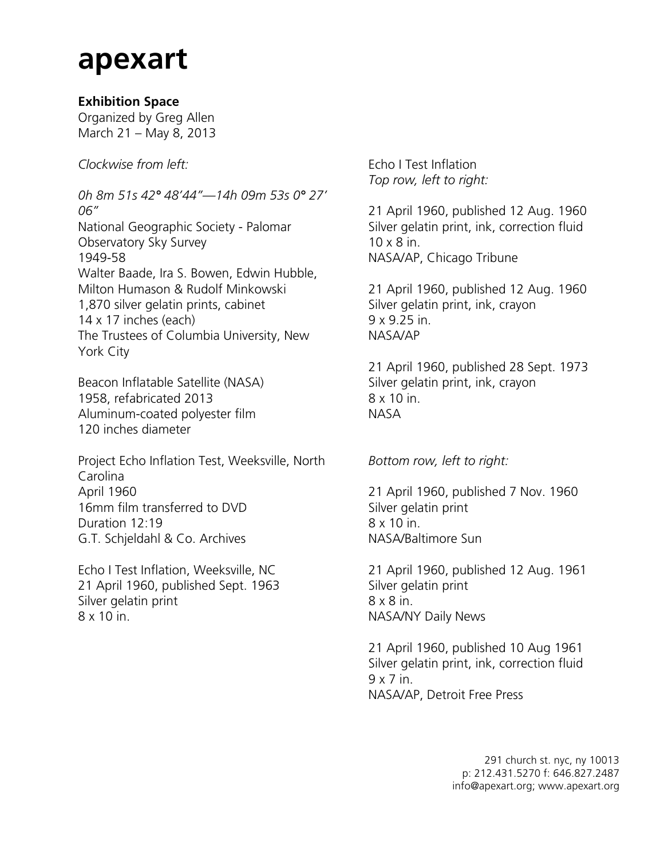## **apexart**

## **Exhibition Space**

Organized by Greg Allen March 21 – May 8, 2013

*Clockwise from left:*

*0h 8m 51s 42° 48'44"—14h 09m 53s 0° 27' 06"* National Geographic Society - Palomar Observatory Sky Survey 1949-58 Walter Baade, Ira S. Bowen, Edwin Hubble, Milton Humason & Rudolf Minkowski 1,870 silver gelatin prints, cabinet 14 x 17 inches (each) The Trustees of Columbia University, New York City

Beacon Inflatable Satellite (NASA) 1958, refabricated 2013 Aluminum-coated polyester film 120 inches diameter

Project Echo Inflation Test, Weeksville, North Carolina April 1960 16mm film transferred to DVD Duration 12:19 G.T. Schjeldahl & Co. Archives

Echo I Test Inflation, Weeksville, NC 21 April 1960, published Sept. 1963 Silver gelatin print 8 x 10 in.

Echo I Test Inflation *Top row, left to right:*

21 April 1960, published 12 Aug. 1960 Silver gelatin print, ink, correction fluid 10 x 8 in. NASA/AP, Chicago Tribune

21 April 1960, published 12 Aug. 1960 Silver gelatin print, ink, crayon 9 x 9.25 in. NASA/AP

21 April 1960, published 28 Sept. 1973 Silver gelatin print, ink, crayon 8 x 10 in. NASA

*Bottom row, left to right:*

21 April 1960, published 7 Nov. 1960 Silver gelatin print 8 x 10 in. NASA/Baltimore Sun

21 April 1960, published 12 Aug. 1961 Silver gelatin print 8 x 8 in. NASA/NY Daily News

21 April 1960, published 10 Aug 1961 Silver gelatin print, ink, correction fluid 9 x 7 in. NASA/AP, Detroit Free Press

> 291 church st. nyc, ny 10013 p: 212.431.5270 f: 646.827.2487 info@apexart.org; www.apexart.org